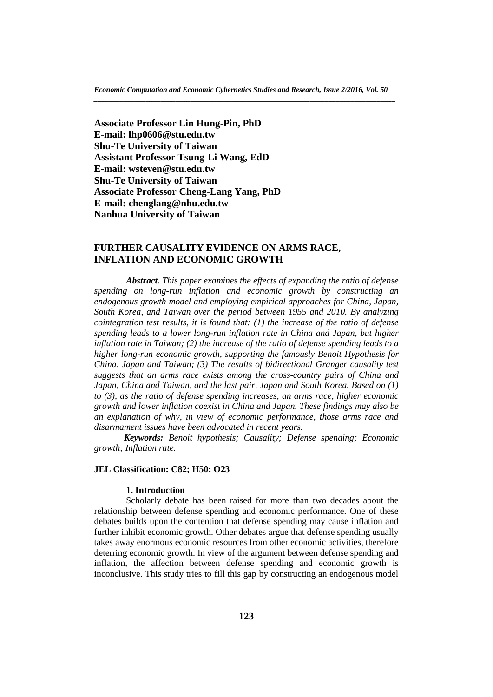**Associate Professor Lin Hung-Pin, PhD E-mail: lhp0606@stu.edu.tw Shu-Te University of Taiwan Assistant Professor Tsung-Li Wang, EdD E-mail: wsteven@stu.edu.tw Shu-Te University of Taiwan Associate Professor Cheng-Lang Yang, PhD E-mail: chenglang@nhu.edu.tw Nanhua University of Taiwan**

# **FURTHER CAUSALITY EVIDENCE ON ARMS RACE, INFLATION AND ECONOMIC GROWTH**

*Abstract. This paper examines the effects of expanding the ratio of defense spending on long-run inflation and economic growth by constructing an endogenous growth model and employing empirical approaches for China, Japan, South Korea, and Taiwan over the period between 1955 and 2010. By analyzing cointegration test results, it is found that: (1) the increase of the ratio of defense spending leads to a lower long-run inflation rate in China and Japan, but higher inflation rate in Taiwan; (2) the increase of the ratio of defense spending leads to a higher long-run economic growth, supporting the famously Benoit Hypothesis for China, Japan and Taiwan; (3) The results of bidirectional Granger causality test suggests that an arms race exists among the cross-country pairs of China and Japan, China and Taiwan, and the last pair, Japan and South Korea. Based on (1) to (3), as the ratio of defense spending increases, an arms race, higher economic growth and lower inflation coexist in China and Japan. These findings may also be an explanation of why, in view of economic performance, those arms race and disarmament issues have been advocated in recent years.*

*Keywords: Benoit hypothesis; Causality; Defense spending; Economic growth; Inflation rate.*

#### **JEL Classification: C82; H50; O23**

## **1. Introduction**

Scholarly debate has been raised for more than two decades about the relationship between defense spending and economic performance. One of these debates builds upon the contention that defense spending may cause inflation and further inhibit economic growth. Other debates argue that defense spending usually takes away enormous economic resources from other economic activities, therefore deterring economic growth. In view of the argument between defense spending and inflation, the affection between defense spending and economic growth is inconclusive. This study tries to fill this gap by constructing an endogenous model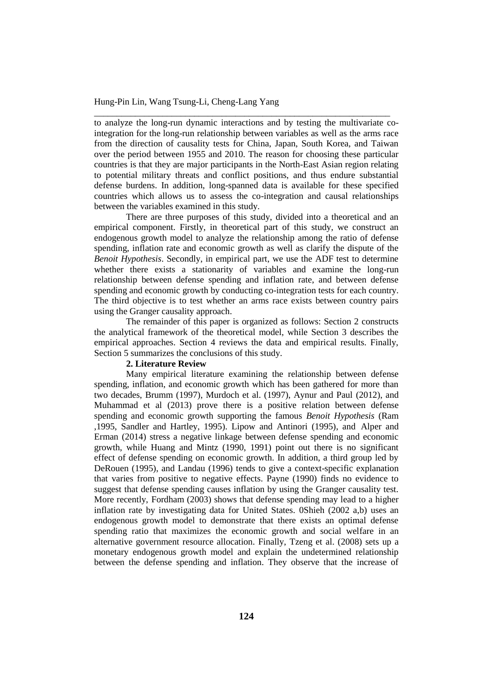to analyze the long-run dynamic interactions and by testing the multivariate cointegration for the long-run relationship between variables as well as the arms race from the direction of causality tests for China, Japan, South Korea, and Taiwan over the period between 1955 and 2010. The reason for choosing these particular countries is that they are major participants in the North-East Asian region relating to potential military threats and conflict positions, and thus endure substantial defense burdens. In addition, long-spanned data is available for these specified countries which allows us to assess the co-integration and causal relationships between the variables examined in this study.

\_\_\_\_\_\_\_\_\_\_\_\_\_\_\_\_\_\_\_\_\_\_\_\_\_\_\_\_\_\_\_\_\_\_\_\_\_\_\_\_\_\_\_\_\_\_\_\_\_\_\_\_\_\_\_\_\_\_\_\_\_\_\_\_\_

There are three purposes of this study, divided into a theoretical and an empirical component. Firstly, in theoretical part of this study, we construct an endogenous growth model to analyze the relationship among the ratio of defense spending, inflation rate and economic growth as well as clarify the dispute of the *Benoit Hypothesis*. Secondly, in empirical part, we use the ADF test to determine whether there exists a stationarity of variables and examine the long-run relationship between defense spending and inflation rate, and between defense spending and economic growth by conducting co-integration tests for each country. The third objective is to test whether an arms race exists between country pairs using the Granger causality approach.

The remainder of this paper is organized as follows: Section 2 constructs the analytical framework of the theoretical model, while Section 3 describes the empirical approaches. Section 4 reviews the data and empirical results. Finally, Section 5 summarizes the conclusions of this study.

#### **2. Literature Review**

Many empirical literature examining the relationship between defense spending, inflation, and economic growth which has been gathered for more than two decades, Brumm (1997), Murdoch et al. (1997), Aynur and Paul (2012), and Muhammad et al (2013) prove there is a positive relation between defense spending and economic growth supporting the famous *Benoit Hypothesis* (Ram ,1995, Sandler and Hartley, 1995). Lipow and Antinori (1995), and Alper and Erman (2014) stress a negative linkage between defense spending and economic growth, while Huang and Mintz (1990, 1991) point out there is no significant effect of defense spending on economic growth. In addition, a third group led by DeRouen (1995), and Landau (1996) tends to give a context-specific explanation that varies from positive to negative effects. Payne (1990) finds no evidence to suggest that defense spending causes inflation by using the Granger causality test. More recently, Fordham (2003) shows that defense spending may lead to a higher inflation rate by investigating data for United States. 0Shieh (2002 a,b) uses an endogenous growth model to demonstrate that there exists an optimal defense spending ratio that maximizes the economic growth and social welfare in an alternative government resource allocation. Finally, Tzeng et al. (2008) sets up a monetary endogenous growth model and explain the undetermined relationship between the defense spending and inflation. They observe that the increase of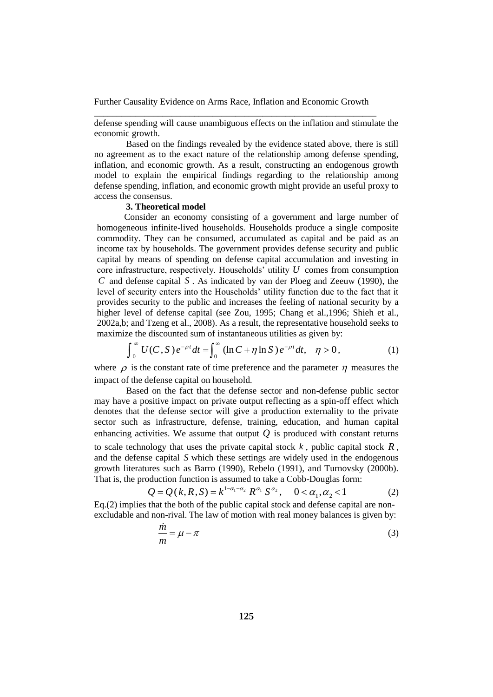defense spending will cause unambiguous effects on the inflation and stimulate the economic growth.

Based on the findings revealed by the evidence stated above, there is still no agreement as to the exact nature of the relationship among defense spending, inflation, and economic growth. As a result, constructing an endogenous growth model to explain the empirical findings regarding to the relationship among defense spending, inflation, and economic growth might provide an useful proxy to access the consensus.

# **3. Theoretical model**

Consider an economy consisting of a government and large number of homogeneous infinite-lived households. Households produce a single composite commodity. They can be consumed, accumulated as capital and be paid as an income tax by households. The government provides defense security and public capital by means of spending on defense capital accumulation and investing in core infrastructure, respectively. Households' utility *U* comes from consumption *C* and defense capital *S* . As indicated by van der Ploeg and Zeeuw (1990), the level of security enters into the Households' utility function due to the fact that it provides security to the public and increases the feeling of national security by a higher level of defense capital (see Zou, 1995; Chang et al.,1996; Shieh et al., 2002a,b; and Tzeng et al., 2008). As a result, the representative household seeks to maximize the discounted sum of instantaneous utilities as given by:

$$
\int_0^{\infty} U(C, S) e^{-\rho t} dt = \int_0^{\infty} (\ln C + \eta \ln S) e^{-\rho t} dt, \quad \eta > 0,
$$
 (1)

where  $\rho$  is the constant rate of time preference and the parameter  $\eta$  measures the impact of the defense capital on household.

Based on the fact that the defense sector and non-defense public sector may have a positive impact on private output reflecting as a spin-off effect which denotes that the defense sector will give a production externality to the private sector such as infrastructure, defense, training, education, and human capital enhancing activities. We assume that output  $Q$  is produced with constant returns to scale technology that uses the private capital stock  $k$ , public capital stock  $R$ , and the defense capital *S* which these settings are widely used in the endogenous growth literatures such as Barro (1990), Rebelo (1991), and Turnovsky (2000b). That is, the production function is assumed to take a Cobb-Douglas form:

$$
Q = Q(k, R, S) = k^{1 - \alpha_1 - \alpha_2} R^{\alpha_1} S^{\alpha_2}, \quad 0 < \alpha_1, \alpha_2 < 1
$$
 (2)

Eq.(2) implies that the both of the public capital stock and defense capital are nonexcludable and non-rival. The law of motion with real money balances is given by:

$$
\frac{\dot{m}}{m} = \mu - \pi \tag{3}
$$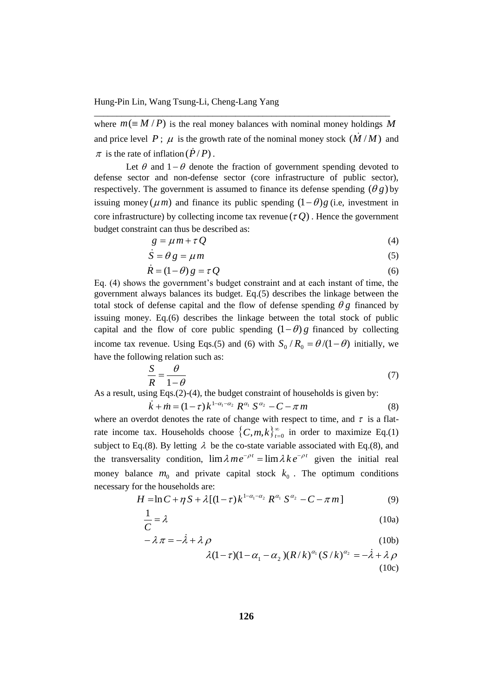where  $m \equiv M / P$ ) is the real money balances with nominal money holdings M and price level P;  $\mu$  is the growth rate of the nominal money stock  $(\dot{M}/M)$  and  $\pi$  is the rate of inflation ( $\dot{P}/P$ ).

\_\_\_\_\_\_\_\_\_\_\_\_\_\_\_\_\_\_\_\_\_\_\_\_\_\_\_\_\_\_\_\_\_\_\_\_\_\_\_\_\_\_\_\_\_\_\_\_\_\_\_\_\_\_\_\_\_\_\_\_\_\_\_\_\_

Let  $\theta$  and  $1-\theta$  denote the fraction of government spending devoted to defense sector and non-defense sector (core infrastructure of public sector), respectively. The government is assumed to finance its defense spending  $(\theta g)$  by issuing money ( $\mu$ *m*) and finance its public spending  $(1 - \theta)g$  (i.e., investment in core infrastructure) by collecting income tax revenue  $(\tau Q)$ . Hence the government budget constraint can thus be described as:

$$
g = \mu m + \tau Q \tag{4}
$$

$$
\dot{S} = \theta g = \mu m \tag{5}
$$

$$
\dot{R} = (1 - \theta) g = \tau Q \tag{6}
$$

Eq. (4) shows the government's budget constraint and at each instant of time, the government always balances its budget. Eq.(5) describes the linkage between the total stock of defense capital and the flow of defense spending  $\theta g$  financed by issuing money. Eq.(6) describes the linkage between the total stock of public capital and the flow of core public spending  $(1 - \theta)g$  financed by collecting income tax revenue. Using Eqs.(5) and (6) with  $S_0/R_0 = \theta/(1-\theta)$  initially, we have the following relation such as:

$$
\frac{S}{R} = \frac{\theta}{1 - \theta} \tag{7}
$$

As a result, using Eqs.(2)-(4), the budget constraint of households is given by:

$$
\dot{k} + \dot{m} = (1 - \tau) k^{1 - \alpha_1 - \alpha_2} R^{\alpha_1} S^{\alpha_2} - C - \pi m \tag{8}
$$

where an overdot denotes the rate of change with respect to time, and  $\tau$  is a flatrate income tax. Households choose  ${C, m, k}_{t=0}^{\infty}$  $(C, m, k)_{t=0}^{\infty}$  in order to maximize Eq.(1) subject to Eq.(8). By letting  $\lambda$  be the co-state variable associated with Eq.(8), and the transversality condition,  $\lim \lambda m e^{-\rho t} = \lim \lambda k e^{-\rho t}$  given the initial real money balance  $m_0$  and private capital stock  $k_0$ . The optimum conditions necessary for the households are:

$$
H = \ln C + \eta S + \lambda [(1 - \tau) k^{1 - \alpha_1 - \alpha_2} R^{\alpha_1} S^{\alpha_2} - C - \pi m]
$$
 (9)

$$
\frac{1}{C} = \lambda \tag{10a}
$$

$$
-\lambda \pi = -\dot{\lambda} + \lambda \rho \tag{10b}
$$

$$
\lambda(1-\tau)(1-\alpha_1-\alpha_2)(R/k)^{\alpha_1}(S/k)^{\alpha_2} = -\lambda + \lambda \rho
$$
\n(10c)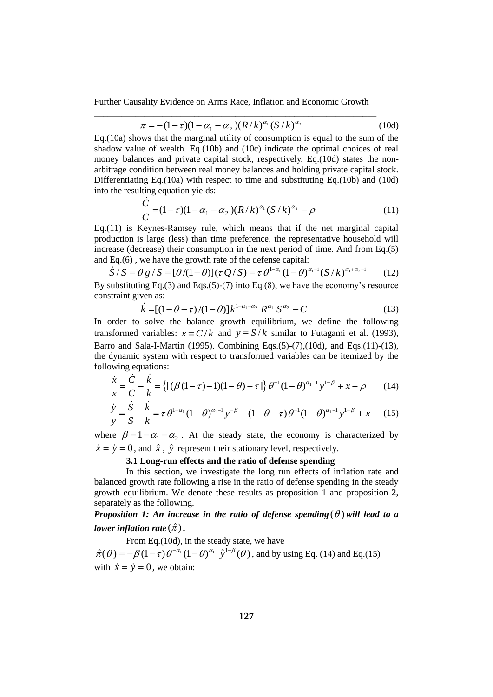$$
\pi = -(1 - \tau)(1 - \alpha_1 - \alpha_2)(R/k)^{\alpha_1} (S/k)^{\alpha_2}
$$
 (10d)

Eq.(10a) shows that the marginal utility of consumption is equal to the sum of the shadow value of wealth. Eq.(10b) and (10c) indicate the optimal choices of real money balances and private capital stock, respectively. Eq.(10d) states the nonarbitrage condition between real money balances and holding private capital stock. Differentiating Eq.(10a) with respect to time and substituting Eq.(10b) and (10d) into the resulting equation yields:

$$
\frac{\dot{C}}{C} = (1 - \tau)(1 - \alpha_1 - \alpha_2)(R/k)^{\alpha_1}(S/k)^{\alpha_2} - \rho
$$
\n(11)

Eq.(11) is Keynes-Ramsey rule, which means that if the net marginal capital production is large (less) than time preference, the representative household will increase (decrease) their consumption in the next period of time. And from Eq.(5) and Eq.(6) , we have the growth rate of the defense capital:

$$
\dot{S}/S = \theta g / S = [\theta/(1-\theta)](\tau Q/S) = \tau \theta^{1-\alpha_1} (1-\theta)^{\alpha_1-1} (S/k)^{\alpha_1+\alpha_2-1}
$$
 (12)  
By substituting Eq.(3) and Eqs.(5)-(7) into Eq.(8), we have the economy's resource  
constraint given as:

$$
\dot{k} = [(1 - \theta - \tau)/(1 - \theta)]k^{1 - \alpha_1 - \alpha_2} R^{\alpha_1} S^{\alpha_2} - C
$$
\n(13)

In order to solve the balance growth equilibrium, we define the following transformed variables:  $x = C/k$  and  $y = S/k$  similar to Futagami et al. (1993), Barro and Sala-I-Martin (1995). Combining Eqs.(5)-(7),(10d), and Eqs.(11)-(13), following equations:

the dynamic system with respect to transformed variables can be itemized by the following equations:  
\n
$$
\frac{\dot{x}}{x} = \frac{\dot{C}}{C} - \frac{k}{k} = \left\{ \left[ (\beta(1-\tau)-1)(1-\theta) + \tau \right] \right\} \theta^{-1} (1-\theta)^{\alpha_1-1} y^{1-\beta} + x - \rho \qquad (14)
$$
\n
$$
\dot{y} = \dot{S} - \dot{k} \qquad (14)
$$

$$
\frac{\dot{y}}{y} = \frac{S}{S} - \frac{k}{k} = \tau \theta^{1-\alpha_1} (1-\theta)^{\alpha_1-1} y^{-\beta} - (1-\theta-\tau) \theta^{-1} (1-\theta)^{\alpha_1-1} y^{1-\beta} + x \tag{15}
$$

where  $\beta = 1 - \alpha_1 - \alpha_2$ . At the steady state, the economy is characterized by  $\dot{x} = \dot{y} = 0$ , and  $\hat{x}$ ,  $\hat{y}$  represent their stationary level, respectively.

### **3.1 Long-run effects and the ratio of defense spending**

In this section, we investigate the long run effects of inflation rate and balanced growth rate following a rise in the ratio of defense spending in the steady growth equilibrium. We denote these results as proposition 1 and proposition 2, separately as the following.

# *Proposition 1: An increase in the ratio of defense spending*  $(\theta)$  will lead to a lower inflation rate  $(\hat{\pi})$  .

From Eq.(10d), in the steady state, we have  $\hat{\pi}(\theta) = -\beta (1-\tau) \theta^{-\alpha_1} (1-\theta)^{\alpha_1} \hat{y}^{1-\beta}(\theta)$ , and by using Eq. (14) and Eq.(15) with  $\dot{x} = \dot{y} = 0$ , we obtain: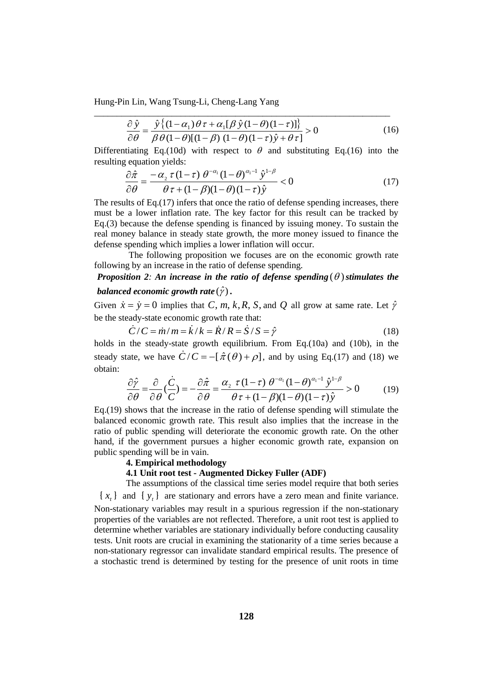$$
\frac{\partial \hat{y}}{\partial \theta} = \frac{\hat{y} \{ (1 - \alpha_1) \theta \tau + \alpha_1 [\beta \hat{y} (1 - \theta) (1 - \tau)] \}}{\beta \theta (1 - \theta) (1 - \beta) (1 - \theta) (1 - \tau) \hat{y} + \theta \tau} > 0
$$
(16)

Differentiating Eq.(10d) with respect to  $\theta$  and substituting Eq.(16) into the resulting equation yields:

\_\_\_\_\_\_\_\_\_\_\_\_\_\_\_\_\_\_\_\_\_\_\_\_\_\_\_\_\_\_\_\_\_\_\_\_\_\_\_\_\_\_\_\_\_\_\_\_\_\_\_\_\_\_\_\_\_\_\_\_\_\_\_\_\_

$$
\frac{\partial \hat{\pi}}{\partial \theta} = \frac{-\alpha_2 \tau (1-\tau) \theta^{-\alpha_1} (1-\theta)^{\alpha_1-1} \hat{y}^{1-\beta}}{\theta \tau + (1-\beta)(1-\theta)(1-\tau) \hat{y}} < 0 \tag{17}
$$

The results of Eq.(17) infers that once the ratio of defense spending increases, there must be a lower inflation rate. The key factor for this result can be tracked by Eq.(3) because the defense spending is financed by issuing money. To sustain the real money balance in steady state growth, the more money issued to finance the defense spending which implies a lower inflation will occur.

The following proposition we focuses are on the economic growth rate following by an increase in the ratio of defense spending.

# *Proposition 2: An increase in the ratio of defense spending*  $(\theta)$  *stimulates the* balanced economic growth rate  $(\hat{\mathcal{y}})$  .

Given  $\dot{x} = \dot{y} = 0$  implies that C, m, k, R, S, and Q all grow at same rate. Let  $\hat{y}$ be the steady-state economic growth rate that:

$$
\dot{C}/C = \dot{m}/m = \dot{k}/k = \dot{R}/R = \dot{S}/S = \hat{\gamma}
$$
\n(18)

holds in the steady-state growth equilibrium. From Eq.(10a) and (10b), in the steady state, we have  $\dot{C}/C = -[\hat{\pi}(\theta) + \rho]$ , and by using Eq.(17) and (18) we obtain:

$$
\frac{\partial \hat{\gamma}}{\partial \theta} = \frac{\partial}{\partial \theta} \left( \frac{\dot{C}}{C} \right) = -\frac{\partial \hat{\pi}}{\partial \theta} = \frac{\alpha_2 \ \tau \ (1-\tau) \ \theta^{-\alpha_1} (1-\theta)^{\alpha_1-1} \ \hat{y}^{1-\beta}}{\theta \ \tau + (1-\beta)(1-\theta)(1-\tau) \hat{y}} > 0 \tag{19}
$$

Eq.(19) shows that the increase in the ratio of defense spending will stimulate the balanced economic growth rate. This result also implies that the increase in the ratio of public spending will deteriorate the economic growth rate. On the other hand, if the government pursues a higher economic growth rate, expansion on public spending will be in vain.

### **4. Empirical methodology**

## **4.1 Unit root test - Augmented Dickey Fuller (ADF)**

The assumptions of the classical time series model require that both series  ${x_t}$  and  ${y_t}$  are stationary and errors have a zero mean and finite variance. Non-stationary variables may result in a spurious regression if the non-stationary properties of the variables are not reflected. Therefore, a unit root test is applied to determine whether variables are stationary individually before conducting causality tests. Unit roots are crucial in examining the stationarity of a time series because a non-stationary regressor can invalidate standard empirical results. The presence of a stochastic trend is determined by testing for the presence of unit roots in time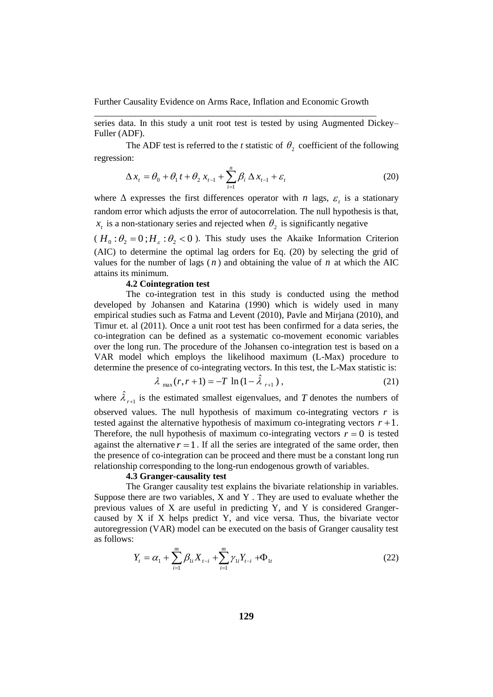series data. In this study a unit root test is tested by using Augmented Dickey– Fuller (ADF).

The ADF test is referred to the *t* statistic of  $\theta_2$  coefficient of the following regression:

$$
\Delta x_{t} = \theta_{0} + \theta_{1} t + \theta_{2} x_{t-1} + \sum_{i=1}^{n} \beta_{i} \Delta x_{t-1} + \varepsilon_{t}
$$
\n(20)

where  $\Delta$  expresses the first differences operator with *n* lags,  $\varepsilon$ <sub>t</sub> is a stationary random error which adjusts the error of autocorrelation. The null hypothesis is that,  $x_t$  is a non-stationary series and rejected when  $\theta_2$  is significantly negative

 $(H_0: \theta_2 = 0; H_{\varepsilon}: \theta_2 < 0)$ . This study uses the Akaike Information Criterion (AIC) to determine the optimal lag orders for Eq. (20) by selecting the grid of values for the number of lags  $(n)$  and obtaining the value of  $n$  at which the AIC attains its minimum.

# **4.2 Cointegration test**

The co-integration test in this study is conducted using the method developed by Johansen and Katarina (1990) which is widely used in many empirical studies such as Fatma and Levent (2010), Pavle and Mirjana (2010), and Timur et. al (2011). Once a unit root test has been confirmed for a data series, the co-integration can be defined as a systematic co-movement economic variables over the long run. The procedure of the Johansen co-integration test is based on a VAR model which employs the likelihood maximum (L-Max) procedure to determine the presence of co-integrating vectors. In this test, the L-Max statistic is:

$$
\lambda_{\max}(r, r+1) = -T \ln(1 - \hat{\lambda}_{r+1}), \qquad (21)
$$

where  $\hat{\lambda}_{r+1}$  is the estimated smallest eigenvalues, and T denotes the numbers of observed values. The null hypothesis of maximum co-integrating vectors  $r$  is tested against the alternative hypothesis of maximum co-integrating vectors  $r + 1$ . Therefore, the null hypothesis of maximum co-integrating vectors  $r = 0$  is tested against the alternative  $r = 1$ . If all the series are integrated of the same order, then the presence of co-integration can be proceed and there must be a constant long run relationship corresponding to the long-run endogenous growth of variables.

## **4.3 Granger-causality test**

The Granger causality test explains the bivariate relationship in variables. Suppose there are two variables, X and Y . They are used to evaluate whether the previous values of X are useful in predicting Y, and Y is considered Grangercaused by X if X helps predict Y, and vice versa. Thus, the bivariate vector autoregression (VAR) model can be executed on the basis of Granger causality test as follows:

$$
Y_{t} = \alpha_{1} + \sum_{i=1}^{m} \beta_{1i} X_{t-i} + \sum_{i=1}^{m} \gamma_{1i} Y_{t-i} + \Phi_{1t}
$$
 (22)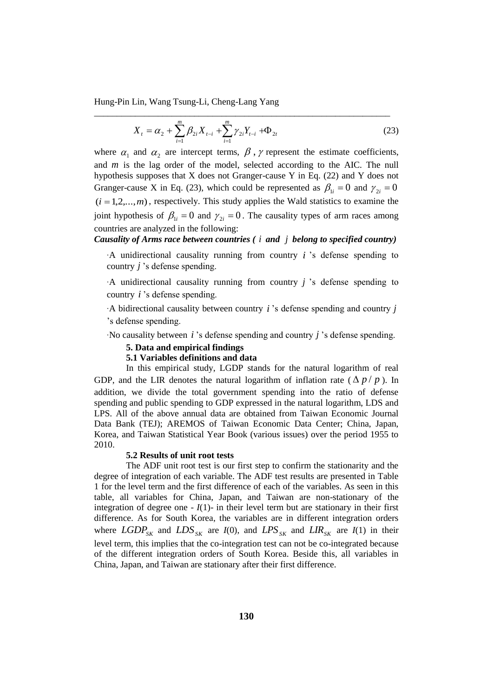$$
X_{t} = \alpha_{2} + \sum_{i=1}^{m} \beta_{2i} X_{t-i} + \sum_{i=1}^{m} \gamma_{2i} Y_{t-i} + \Phi_{2t}
$$
 (23)

where  $\alpha_1$  and  $\alpha_2$  are intercept terms,  $\beta$ ,  $\gamma$  represent the estimate coefficients, and *m* is the lag order of the model, selected according to the AIC. The null hypothesis supposes that X does not Granger-cause Y in Eq. (22) and Y does not Granger-cause X in Eq. (23), which could be represented as  $\beta_{1i} = 0$  and  $\gamma_{2i} = 0$  $(i = 1, 2, \ldots, m)$ , respectively. This study applies the Wald statistics to examine the joint hypothesis of  $\beta_{1i} = 0$  and  $\gamma_{2i} = 0$ . The causality types of arm races among countries are analyzed in the following:

*Causality of Arms race between countries ( i and j belong to specified country)*

‧A unidirectional causality running from country *i* 's defense spending to country *j* 's defense spending.

‧A unidirectional causality running from country *j* 's defense spending to country *i* 's defense spending.

‧A bidirectional causality between country *i* 's defense spending and country *j* 's defense spending.

‧No causality between *i* 's defense spending and country *j* 's defense spending.

## **5. Data and empirical findings**

## **5.1 Variables definitions and data**

In this empirical study, LGDP stands for the natural logarithm of real GDP, and the LIR denotes the natural logarithm of inflation rate  $(\Delta p / p)$ . In addition, we divide the total government spending into the ratio of defense spending and public spending to GDP expressed in the natural logarithm, LDS and LPS. All of the above annual data are obtained from Taiwan Economic Journal Data Bank (TEJ); AREMOS of Taiwan Economic Data Center; China, Japan, Korea, and Taiwan Statistical Year Book (various issues) over the period 1955 to 2010.

## **5.2 Results of unit root tests**

The ADF unit root test is our first step to confirm the stationarity and the degree of integration of each variable. The ADF test results are presented in Table 1 for the level term and the first difference of each of the variables. As seen in this table, all variables for China, Japan, and Taiwan are non-stationary of the integration of degree one  $-I(1)$ - in their level term but are stationary in their first difference. As for South Korea, the variables are in different integration orders where  $LGDP_{SK}$  and  $LDS_{SK}$  are  $I(0)$ , and  $LPS_{SK}$  and  $LIR_{SK}$  are  $I(1)$  in their level term, this implies that the co-integration test can not be co-integrated because of the different integration orders of South Korea. Beside this, all variables in China, Japan, and Taiwan are stationary after their first difference.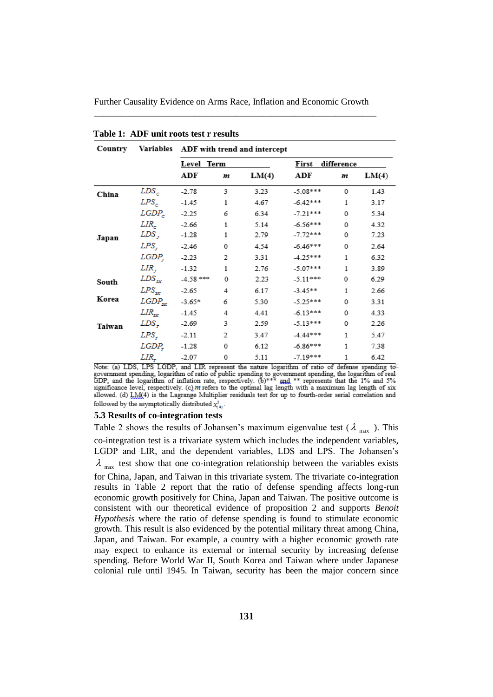| Country |                                       | Variables ADF with trend and intercept |   |       |                     |   |       |  |
|---------|---------------------------------------|----------------------------------------|---|-------|---------------------|---|-------|--|
|         |                                       | Level Term                             |   |       | difference<br>First |   |       |  |
|         |                                       | ADF                                    | m | LM(4) | ADF                 | m | LM(4) |  |
| China   | $LDS_c$                               | $-2.78$                                | 3 | 3.23  | $-5.08***$          | 0 | 1.43  |  |
|         | LPS_                                  | $-1.45$                                | 1 | 4.67  | $-6.42***$          | 1 | 3.17  |  |
|         | $LGDP_c$ -2.25                        |                                        | 6 | 6.34  | $-7.21***$          | 0 | 5.34  |  |
|         | LIR <sub>r</sub>                      | $-2.66$                                | 1 | 5.14  | $-6.56***$          | 0 | 4.32  |  |
| Japan   | LDS ,                                 | $-1.28$                                | 1 | 2.79  | $-7.72***$          | 0 | 7.23  |  |
|         | LPS,                                  | $-2.46$                                | 0 | 4.54  | $-6.46***$          | 0 | 2.64  |  |
|         | LGDP,                                 | $-2.23$                                | 2 | 3.31  | $-4.25***$          | 1 | 6.32  |  |
|         | LIR,                                  | $-1.32$                                | 1 | 2.76  | $-5.07***$          | 1 | 3.89  |  |
| South   | $\left\langle LDS\right\rangle _{SK}$ | -4.58 ***                              | 0 | 2.23  | $-5.11***$          | 0 | 6.29  |  |
|         | $LPS_{\rm src}$                       | $-2.65$                                | 4 | 6.17  | $-3.45**$           | 1 | 2.66  |  |
| Korea   | $LGDP_{sx}$                           | $-3.65*$                               | 6 | 5.30  | $-5.25***$          | 0 | 3.31  |  |
|         | $LIR_{\rm{sr}}$                       | $-1.45$                                | 4 | 4.41  | $-6.13***$          | 0 | 4.33  |  |
| Taiwan  | LDS-                                  | $-2.69$                                | 3 | 2.59  | $-5.13***$          | 0 | 2.26  |  |
|         | LPS-                                  | $-2.11$                                | 2 | 3.47  | $-4.44***$          | 1 | 5.47  |  |
|         | LGDP,                                 | $-1.28$                                | 0 | 6.12  | $-6.86***$          | 1 | 7.38  |  |
|         | LIR.                                  | $-2.07$                                | 0 | 5.11  | $-7.19***$          | 1 | 6.42  |  |

**Table 1: ADF unit roots test r results**

Note: (a) LDS, LPS LGDP, and LIR represent the nature logarithm of ratio of defense spending to government spending, logarithm of ratio of public spending to government spending, the logarithm of real GDP, and the logarit allowed. (d) LM(4) is the Lagrange Multiplier residuals test for up to fourth-order serial correlation and followed by the asymptotically distributed  $x_{i}^2$ .

#### **5.3 Results of co-integration tests**

Table 2 shows the results of Johansen's maximum eigenvalue test ( $\lambda_{max}$ ). This co-integration test is a trivariate system which includes the independent variables, LGDP and LIR, and the dependent variables, LDS and LPS. The Johansen's  $\lambda$ <sub>max</sub> test show that one co-integration relationship between the variables exists for China, Japan, and Taiwan in this trivariate system. The trivariate co-integration results in Table 2 report that the ratio of defense spending affects long-run economic growth positively for China, Japan and Taiwan. The positive outcome is consistent with our theoretical evidence of proposition 2 and supports *Benoit Hypothesis* where the ratio of defense spending is found to stimulate economic growth. This result is also evidenced by the potential military threat among China, Japan, and Taiwan. For example, a country with a higher economic growth rate may expect to enhance its external or internal security by increasing defense spending. Before World War II, South Korea and Taiwan where under Japanese colonial rule until 1945. In Taiwan, security has been the major concern since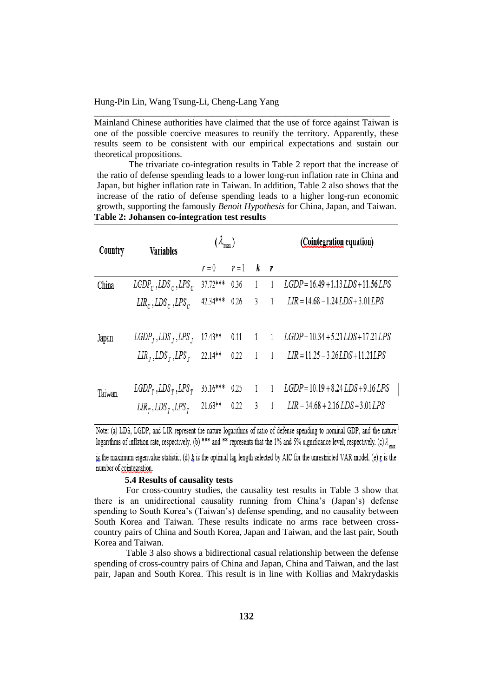Mainland Chinese authorities have claimed that the use of force against Taiwan is one of the possible coercive measures to reunify the territory. Apparently, these results seem to be consistent with our empirical expectations and sustain our theoretical propositions.

\_\_\_\_\_\_\_\_\_\_\_\_\_\_\_\_\_\_\_\_\_\_\_\_\_\_\_\_\_\_\_\_\_\_\_\_\_\_\_\_\_\_\_\_\_\_\_\_\_\_\_\_\_\_\_\_\_\_\_\_\_\_\_\_\_

The trivariate co-integration results in Table 2 report that the increase of the ratio of defense spending leads to a lower long-run inflation rate in China and Japan, but higher inflation rate in Taiwan. In addition, Table 2 also shows that the increase of the ratio of defense spending leads to a higher long-run economic growth, supporting the famously *Benoit Hypothesis* for China, Japan, and Taiwan. **Table 2: Johansen co-integration test results**

| Country | <b>Variables</b>                            | $(\lambda_{\max})$ |           |                |                | (Cointegration equation)                |  |  |  |
|---------|---------------------------------------------|--------------------|-----------|----------------|----------------|-----------------------------------------|--|--|--|
|         |                                             | $r=0$              | $r=1$ k r |                |                |                                         |  |  |  |
| China   | $LGDP_c$ , $LDS_c$ , $LPS_c$                | 37.72***           | 0.36      | 1              |                | $LGDP = 16.49 + 1.13 LDS + 11.56 LPS$   |  |  |  |
|         | $LIR_c$ , $LDS_c$ , $LPS_c$                 | 42.34***           | 0.26      | 3              | $\overline{1}$ | $LIR = 14.68 - 1.24 LDS + 3.01 LPS$     |  |  |  |
| Japan   | $LGDPI, LDSI, LPSI$                         | $17.43**$          | 0.11      | $1 \quad 1$    |                | $LGDP = 10.34 + 5.21 LDS + 17.21 LPS$   |  |  |  |
|         | $LIR$ , $LDS$ , $LPS$ ,                     | $22.14**$          | 0.22      | 1              | $\overline{1}$ | LIR = 11.25 - 3.26 LDS + 11.21 LPS      |  |  |  |
| Taiwan  | $LGDP_{\tau}$ , $LDS_{\tau}$ , $LPS_{\tau}$ | 35.16***           | 0.25      | $\overline{1}$ | $\overline{1}$ | $LGDP = 10.19 + 8.24 LDS + 9.16 LPS$    |  |  |  |
|         | $LIR_{\tau}$ , $LDS_{\tau}$ , $LPS_{\tau}$  | 21.68**            | 0.22      | 3              |                | $LIR = 34.68 + 2.16$ $LDS - 3.01$ $LPS$ |  |  |  |

Note: (a) LDS, LGDP, and LIR represent the nature logarithms of ratio of defense spending to nominal GDP, and the nature logarithms of inflation rate, respectively. (b) \*\*\* and \*\* represents that the 1% and 5% significance level, respectively. (c)  $\lambda_{\text{max}}$ 

is the maximum eigenvalue statistic. (d)  $k$  is the optimal lag length selected by AIC for the unrestricted VAR model. (e)  $t$  is the number of cointegration.

#### **5.4 Results of causality tests**

For cross-country studies, the causality test results in Table 3 show that there is an unidirectional causality running from China's (Japan's) defense spending to South Korea's (Taiwan's) defense spending, and no causality between South Korea and Taiwan. These results indicate no arms race between crosscountry pairs of China and South Korea, Japan and Taiwan, and the last pair, South Korea and Taiwan.

Table 3 also shows a bidirectional casual relationship between the defense spending of cross-country pairs of China and Japan, China and Taiwan, and the last pair, Japan and South Korea. This result is in line with Kollias and Makrydaskis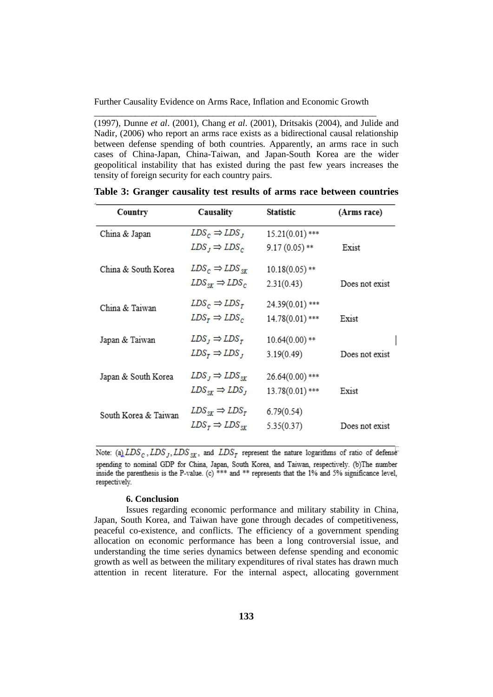(1997), Dunne *et al*. (2001), Chang *et al*. (2001), Dritsakis (2004), and Julide and Nadir, (2006) who report an arms race exists as a bidirectional causal relationship between defense spending of both countries. Apparently, an arms race in such cases of China-Japan, China-Taiwan, and Japan-South Korea are the wider geopolitical instability that has existed during the past few years increases the tensity of foreign security for each country pairs.

| Country              | Causality                          | Statistic         | (Arms race)    |
|----------------------|------------------------------------|-------------------|----------------|
| China & Japan        | $LDS_c \Rightarrow LDS_J$          | $15.21(0.01)$ *** |                |
|                      | $LDS_J \Rightarrow LDS_C$          | $9.17(0.05)$ **   | Exist          |
| China & South Korea  | $LDS_c \Rightarrow LDS_{sr}$       | $10.18(0.05)$ **  |                |
|                      | $LDS_{sr} \Rightarrow LDS_c$       | 2.31(0.43)        | Does not exist |
| China & Taiwan       | $LDS_c \Rightarrow LDS_r$          | 24.39(0.01)***    |                |
|                      | $LDS_r \Rightarrow LDS_c$          | 14.78(0.01)***    | Exist          |
| Japan & Taiwan       | $LDS_J \Rightarrow LDS_T$          | $10.64(0.00)$ **  |                |
|                      | $LDS_r \Rightarrow LDS_r$          | 3.19(0.49)        | Does not exist |
| Japan & South Korea  | $LDS_J \Rightarrow LDS_{SK}$       | 26.64(0.00)***    |                |
|                      | $LDS_{\rm SF} \Rightarrow LDS_{J}$ | 13.78(0.01)***    | Exist          |
| South Korea & Taiwan | $LDS_{sr} \Rightarrow LDS_r$       | 6.79(0.54)        |                |
|                      | $LDS_r \Rightarrow LDS_{sr}$       | 5.35(0.37)        | Does not exist |

|  |  |  |  |  |  |  |  |  | Table 3: Granger causality test results of arms race between countries |
|--|--|--|--|--|--|--|--|--|------------------------------------------------------------------------|
|--|--|--|--|--|--|--|--|--|------------------------------------------------------------------------|

Note: (a)  $LDS_C$ ,  $LDS_J$ ,  $LDS_{SK}$ , and  $LDS_T$  represent the nature logarithms of ratio of defense spending to nominal GDP for China, Japan, South Korea, and Taiwan, respectively. (b)The number inside the parenthesis is the P-value. (c) \*\*\* and \*\* represents that the 1% and 5% significance level, respectively.

## **6. Conclusion**

Issues regarding economic performance and military stability in China, Japan, South Korea, and Taiwan have gone through decades of competitiveness, peaceful co-existence, and conflicts. The efficiency of a government spending allocation on economic performance has been a long controversial issue, and understanding the time series dynamics between defense spending and economic growth as well as between the military expenditures of rival states has drawn much attention in recent literature. For the internal aspect, allocating government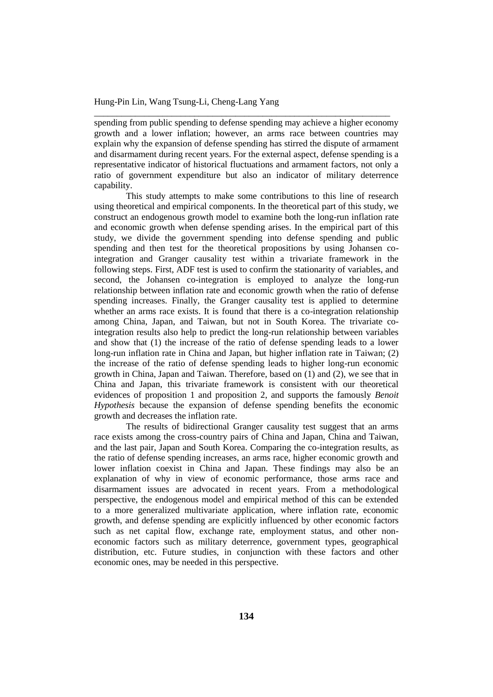spending from public spending to defense spending may achieve a higher economy growth and a lower inflation; however, an arms race between countries may explain why the expansion of defense spending has stirred the dispute of armament and disarmament during recent years. For the external aspect, defense spending is a representative indicator of historical fluctuations and armament factors, not only a ratio of government expenditure but also an indicator of military deterrence capability.

\_\_\_\_\_\_\_\_\_\_\_\_\_\_\_\_\_\_\_\_\_\_\_\_\_\_\_\_\_\_\_\_\_\_\_\_\_\_\_\_\_\_\_\_\_\_\_\_\_\_\_\_\_\_\_\_\_\_\_\_\_\_\_\_\_

This study attempts to make some contributions to this line of research using theoretical and empirical components. In the theoretical part of this study, we construct an endogenous growth model to examine both the long-run inflation rate and economic growth when defense spending arises. In the empirical part of this study, we divide the government spending into defense spending and public spending and then test for the theoretical propositions by using Johansen cointegration and Granger causality test within a trivariate framework in the following steps. First, ADF test is used to confirm the stationarity of variables, and second, the Johansen co-integration is employed to analyze the long-run relationship between inflation rate and economic growth when the ratio of defense spending increases. Finally, the Granger causality test is applied to determine whether an arms race exists. It is found that there is a co-integration relationship among China, Japan, and Taiwan, but not in South Korea. The trivariate cointegration results also help to predict the long-run relationship between variables and show that (1) the increase of the ratio of defense spending leads to a lower long-run inflation rate in China and Japan, but higher inflation rate in Taiwan; (2) the increase of the ratio of defense spending leads to higher long-run economic growth in China, Japan and Taiwan. Therefore, based on (1) and (2), we see that in China and Japan, this trivariate framework is consistent with our theoretical evidences of proposition 1 and proposition 2, and supports the famously *Benoit Hypothesis* because the expansion of defense spending benefits the economic growth and decreases the inflation rate.

The results of bidirectional Granger causality test suggest that an arms race exists among the cross-country pairs of China and Japan, China and Taiwan, and the last pair, Japan and South Korea. Comparing the co-integration results, as the ratio of defense spending increases, an arms race, higher economic growth and lower inflation coexist in China and Japan. These findings may also be an explanation of why in view of economic performance, those arms race and disarmament issues are advocated in recent years. From a methodological perspective, the endogenous model and empirical method of this can be extended to a more generalized multivariate application, where inflation rate, economic growth, and defense spending are explicitly influenced by other economic factors such as net capital flow, exchange rate, employment status, and other noneconomic factors such as military deterrence, government types, geographical distribution, etc. Future studies, in conjunction with these factors and other economic ones, may be needed in this perspective.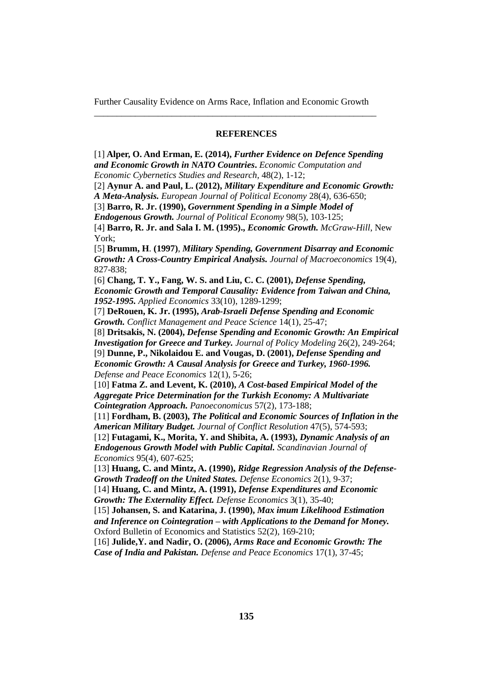## **REFERENCES**

[1] **Alper, O. And Erman, E. (2014),** *[Further Evidence on Defence](http://www.ecocyb.ase.ro/eng/Alper%20Ozun.pdf) Spending [and Economic Growth in NATO Countries](http://www.ecocyb.ase.ro/eng/Alper%20Ozun.pdf)***.** *Economic Computation and Economic Cybernetics Studies and Research,* 48(2), 1-12; [2] **Aynur A. and Paul, L. (2012),** *Military Expenditure and Economic Growth:* 

*A Meta-Analysis. European Journal of Political Economy* 28(4), 636-650;

[3] **Barro, R. Jr. (1990),** *Government Spending in a Simple Model of* 

*Endogenous Growth. Journal of Political Economy* 98(5), 103-125;

[4] **Barro, R. Jr. and Sala I. M. (1995).,** *Economic Growth. McGraw-Hill*, New York;

[5] **Brumm, H**. **(1997)**, *Military Spending, Government Disarray and Economic Growth: A Cross-Country Empirical Analysis. Journal of Macroeconomics* 19(4), 827-838;

[6] **Chang, T. Y., Fang, W. S. and Liu, C. C. (2001),** *Defense Spending, Economic Growth and Temporal Causality: Evidence from Taiwan and China, 1952-1995. Applied Economics* 33(10), 1289-1299;

[7] **DeRouen, K. Jr. (1995),** *Arab-Israeli Defense Spending and Economic Growth. Conflict Management and Peace Science* 14(1), 25-47;

[8] **Dritsakis, N. (2004),** *Defense Spending and Economic Growth: An Empirical Investigation for Greece and Turkey. Journal of Policy Modeling* 26(2), 249-264; [9] **Dunne, P., Nikolaidou E. and Vougas, D. (2001),** *Defense Spending and* 

*Economic Growth: A Causal Analysis for Greece and Turkey, 1960-1996. Defense and Peace Economics* 12(1), 5-26;

[10] **Fatma Z. and Levent, K. (2010),** *A Cost-based Empirical Model of the Aggregate Price Determination for the Turkish Economy: A Multivariate Cointegration Approach. Panoeconomicus* 57(2), 173-188;

[11] **Fordham, B. (2003),** *The Political and Economic Sources of Inflation in the American Military Budget. Journal of Conflict Resolution* 47(5), 574-593;

[12] **Futagami, K., Morita, Y. and Shibita, A. (1993),** *Dynamic Analysis of an Endogenous Growth Model with Public Capital. Scandinavian Journal of Economics* 95(4), 607-625;

[13] **Huang, C. and Mintz, A. (1990),** *Ridge Regression Analysis of the Defense-Growth Tradeoff on the United States. Defense Economics* 2(1), 9-37;

[14] **Huang, C. and Mintz, A. (1991),** *Defense Expenditures and Economic Growth: The Externality Effect. Defense Economics* 3(1), 35-40;

[15] **Johansen, S. and Katarina, J. (1990),** *Max imum Likelihood Estimation and Inference on Cointegration – with Applications to the Demand for Money.* Oxford Bulletin of Economics and Statistics 52(2), 169-210;

[16] **Julide,Y. and Nadir, O. (2006),** *Arms Race and Economic Growth: The Case of India and Pakistan. Defense and Peace Economics* 17(1), 37-45;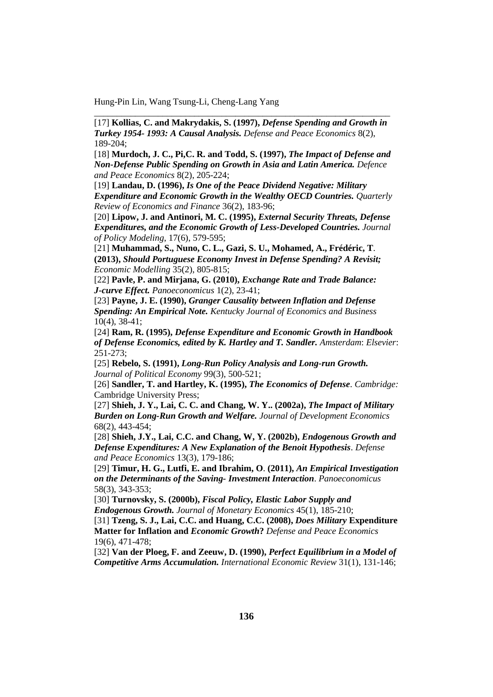[17] **Kollias, C. and Makrydakis, S. (1997),** *Defense Spending and Growth in Turkey 1954- 1993: A Causal Analysis. Defense and Peace Economics* 8(2), 189-204;

\_\_\_\_\_\_\_\_\_\_\_\_\_\_\_\_\_\_\_\_\_\_\_\_\_\_\_\_\_\_\_\_\_\_\_\_\_\_\_\_\_\_\_\_\_\_\_\_\_\_\_\_\_\_\_\_\_\_\_\_\_\_\_\_\_

[18] **Murdoch, J. C., Pi,C. R. and Todd, S. (1997),** *The Impact of Defense and Non-Defense Public Spending on Growth in Asia and Latin America. Defence and Peace Economics* 8(2), 205-224;

[19] **Landau, D. (1996),** *Is One of the Peace Dividend Negative: Military Expenditure and Economic Growth in the Wealthy OECD Countries. Quarterly Review of Economics and Finance* 36(2), 183-96;

[20] **Lipow, J. and Antinori, M. C. (1995),** *External Security Threats, Defense Expenditures, and the Economic Growth of Less-Developed Countries. Journal of Policy Modeling*, 17(6), 579-595;

[21] **Muhammad, S., Nuno, C. L., Gazi, S. U., Mohamed, A., Frédéric, T**. **(2013),** *Should Portuguese Economy Invest in Defense Spending? A Revisit; Economic Modelling* 35(2), 805-815;

[22] **Pavle, P. and Mirjana, G. (2010),** *Exchange Rate and Trade Balance: J-curve Effect. Panoeconomicus* 1(2), 23-41;

[23] **Payne, J. E. (1990),** *Granger Causality between Inflation and Defense Spending: An Empirical Note. Kentucky Journal of Economics and Business* 10(4), 38-41;

[24] **Ram, R. (1995),** *Defense Expenditure and Economic Growth in Handbook of Defense Economics, edited by K. Hartley and T. Sandler. Amsterdam*: *Elsevier*: 251-273;

[25] **Rebelo, S. (1991),** *Long-Run Policy Analysis and Long-run Growth. Journal of Political Economy* 99(3), 500-521;

[26] **Sandler, T. and Hartley, K. (1995),** *The Economics of Defense*. *Cambridge:* Cambridge University Press;

[27] **Shieh, J. Y., Lai, C. C. and Chang, W. Y.. (2002a),** *The Impact of Military Burden on Long-Run Growth and Welfare. Journal of Development Economics* 68(2), 443-454;

[28] **Shieh, J.Y., Lai, C.C. and Chang, W, Y. (2002b),** *Endogenous Growth and Defense Expenditures: A New Explanation of the Benoit Hypothesis*. *Defense and Peace Economics* 13(3), 179-186;

[29] **Timur, H. G., Lutfi, E. and Ibrahim, O**. **(2011),** *An Empirical Investigation on the Determinants of the Saving- Investment Interaction*. *Panoeconomicus* 58(3), 343-353;

[30] **Turnovsky, S. (2000b),** *Fiscal Policy, Elastic Labor Supply and Endogenous Growth. Journal of Monetary Economics* 45(1), 185-210;

[31] **Tzeng, S. J., Lai, C.C. and Huang, C.C. (2008),** *Does Military* **Expenditure Matter for Inflation and** *Economic Growth***?** *Defense and Peace Economics* 19(6), 471-478;

[32] **Van der Ploeg, F. and Zeeuw, D. (1990),** *Perfect Equilibrium in a Model of Competitive Arms Accumulation. International Economic Review* 31(1), 131-146;